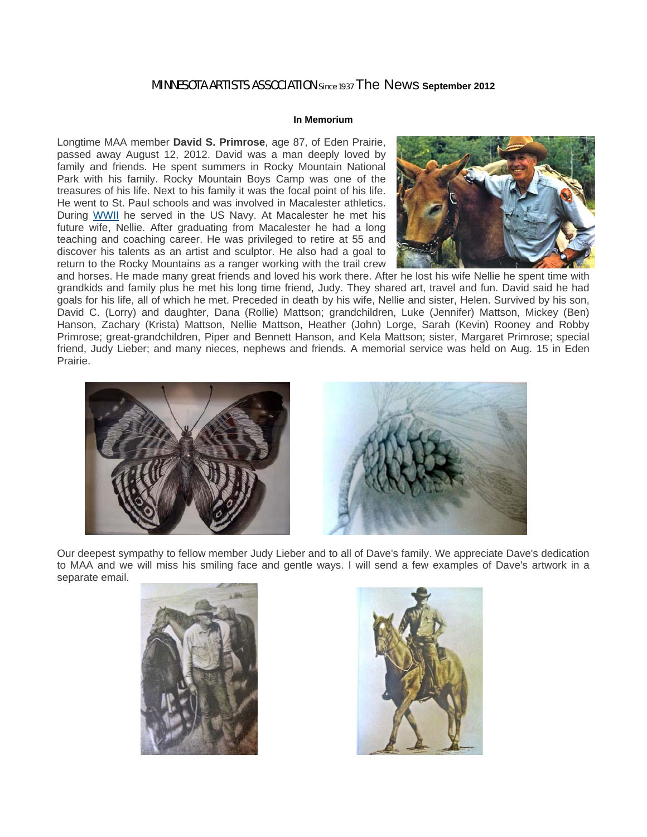# MINNESOTA ARTISTS ASSOCIATION Since 1937 The News **September 2012**

# **In Memorium**

Longtime MAA member **David S. Primrose**, age 87, of Eden Prairie, passed away August 12, 2012. David was a man deeply loved by family and friends. He spent summers in Rocky Mountain National Park with his family. Rocky Mountain Boys Camp was one of the treasures of his life. Next to his family it was the focal point of his life. He went to St. Paul schools and was involved in Macalester athletics. During WWII he served in the US Navy. At Macalester he met his future wife, Nellie. After graduating from Macalester he had a long teaching and coaching career. He was privileged to retire at 55 and discover his talents as an artist and sculptor. He also had a goal to return to the Rocky Mountains as a ranger working with the trail crew



and horses. He made many great friends and loved his work there. After he lost his wife Nellie he spent time with grandkids and family plus he met his long time friend, Judy. They shared art, travel and fun. David said he had goals for his life, all of which he met. Preceded in death by his wife, Nellie and sister, Helen. Survived by his son, David C. (Lorry) and daughter, Dana (Rollie) Mattson; grandchildren, Luke (Jennifer) Mattson, Mickey (Ben) Hanson, Zachary (Krista) Mattson, Nellie Mattson, Heather (John) Lorge, Sarah (Kevin) Rooney and Robby Primrose; great-grandchildren, Piper and Bennett Hanson, and Kela Mattson; sister, Margaret Primrose; special friend, Judy Lieber; and many nieces, nephews and friends. A memorial service was held on Aug. 15 in Eden Prairie.



Our deepest sympathy to fellow member Judy Lieber and to all of Dave's family. We appreciate Dave's dedication to MAA and we will miss his smiling face and gentle ways. I will send a few examples of Dave's artwork in a separate email.



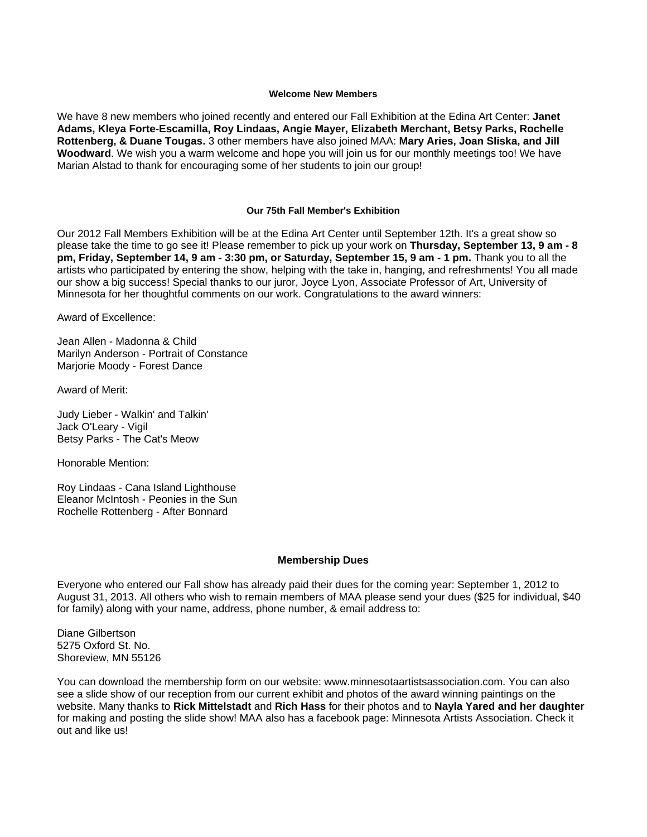### **Welcome New Members**

We have 8 new members who joined recently and entered our Fall Exhibition at the Edina Art Center: **Janet Adams, Kleya Forte-Escamilla, Roy Lindaas, Angie Mayer, Elizabeth Merchant, Betsy Parks, Rochelle Rottenberg, & Duane Tougas.** 3 other members have also joined MAA: **Mary Aries, Joan Sliska, and Jill Woodward**. We wish you a warm welcome and hope you will join us for our monthly meetings too! We have Marian Alstad to thank for encouraging some of her students to join our group!

### **Our 75th Fall Member's Exhibition**

Our 2012 Fall Members Exhibition will be at the Edina Art Center until September 12th. It's a great show so please take the time to go see it! Please remember to pick up your work on **Thursday, September 13, 9 am - 8 pm, Friday, September 14, 9 am - 3:30 pm, or Saturday, September 15, 9 am - 1 pm.** Thank you to all the artists who participated by entering the show, helping with the take in, hanging, and refreshments! You all made our show a big success! Special thanks to our juror, Joyce Lyon, Associate Professor of Art, University of Minnesota for her thoughtful comments on our work. Congratulations to the award winners:

Award of Excellence:

Jean Allen - Madonna & Child Marilyn Anderson - Portrait of Constance Marjorie Moody - Forest Dance

Award of Merit:

Judy Lieber - Walkin' and Talkin' Jack O'Leary - Vigil Betsy Parks - The Cat's Meow

Honorable Mention:

Roy Lindaas - Cana Island Lighthouse Eleanor McIntosh - Peonies in the Sun Rochelle Rottenberg - After Bonnard

### **Membership Dues**

Everyone who entered our Fall show has already paid their dues for the coming year: September 1, 2012 to August 31, 2013. All others who wish to remain members of MAA please send your dues (\$25 for individual, \$40 for family) along with your name, address, phone number, & email address to:

Diane Gilbertson 5275 Oxford St. No. Shoreview, MN 55126

You can download the membership form on our website: www.minnesotaartistsassociation.com. You can also see a slide show of our reception from our current exhibit and photos of the award winning paintings on the website. Many thanks to **Rick Mittelstadt** and **Rich Hass** for their photos and to **Nayla Yared and her daughter** for making and posting the slide show! MAA also has a facebook page: Minnesota Artists Association. Check it out and like us!